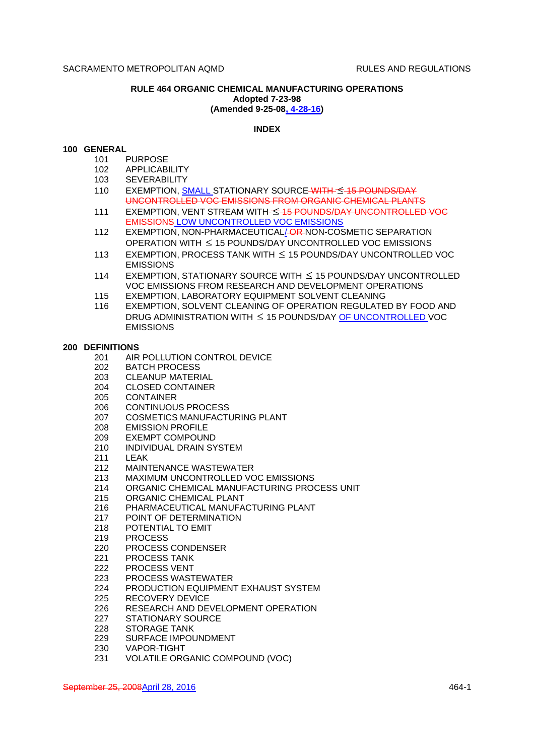## **RULE 464 ORGANIC CHEMICAL MANUFACTURING OPERATIONS Adopted 7-23-98 (Amended 9-25-08, 4-28-16)**

# **INDEX**

## **100 GENERAL**

- 101 PURPOSE
- 102 APPLICABILITY
- 103 SEVERABILITY
- 110 EXEMPTION, SMALL STATIONARY SOURCE WITH 5-15 POUNDS/DAY UNCONTROLLED VOC EMISSIONS FROM ORGANIC CHEMICAL PLANTS
- 111 EXEMPTION, VENT STREAM WITH-S-15 POUNDS/DAY UNCONTROLLED VOC EMISSIONS LOW UNCONTROLLED VOC EMISSIONS
- 112 EXEMPTION, NON-PHARMACEUTICAL/-OR-NON-COSMETIC SEPARATION OPERATION WITH  $\leq$  15 POUNDS/DAY UNCONTROLLED VOC EMISSIONS
- 113 EXEMPTION, PROCESS TANK WITH  $\leq$  15 POUNDS/DAY UNCONTROLLED VOC EMISSIONS
- 114 EXEMPTION, STATIONARY SOURCE WITH  $\leq$  15 POUNDS/DAY UNCONTROLLED VOC EMISSIONS FROM RESEARCH AND DEVELOPMENT OPERATIONS
- 115 EXEMPTION, LABORATORY EQUIPMENT SOLVENT CLEANING
- 116 EXEMPTION, SOLVENT CLEANING OF OPERATION REGULATED BY FOOD AND DRUG ADMINISTRATION WITH  $\leq$  15 POUNDS/DAY OF UNCONTROLLED VOC EMISSIONS

#### **200 DEFINITIONS**

- 201 AIR POLLUTION CONTROL DEVICE
- 202 BATCH PROCESS
- 203 CLEANUP MATERIAL
- 204 CLOSED CONTAINER
- 205 CONTAINER
- 206 CONTINUOUS PROCESS
- 207 COSMETICS MANUFACTURING PLANT
- 208 EMISSION PROFILE
- 209 EXEMPT COMPOUND
- 210 INDIVIDUAL DRAIN SYSTEM
- 211 LEAK
- 212 MAINTENANCE WASTEWATER
- 213 MAXIMUM UNCONTROLLED VOC EMISSIONS
- 214 ORGANIC CHEMICAL MANUFACTURING PROCESS UNIT
- 215 ORGANIC CHEMICAL PLANT
- 216 PHARMACEUTICAL MANUFACTURING PLANT
- 217 POINT OF DETERMINATION
- 218 POTENTIAL TO EMIT
- 219 PROCESS
- 220 PROCESS CONDENSER
- 221 PROCESS TANK
- 222 PROCESS VENT<br>223 PROCESS WAST
- PROCESS WASTEWATER
- 224 PRODUCTION EQUIPMENT EXHAUST SYSTEM
- 225 RECOVERY DEVICE
- 226 RESEARCH AND DEVELOPMENT OPERATION
- 227 STATIONARY SOURCE
- 228 STORAGE TANK
- 229 SURFACE IMPOUNDMENT
- 230 VAPOR-TIGHT
- 231 VOLATILE ORGANIC COMPOUND (VOC)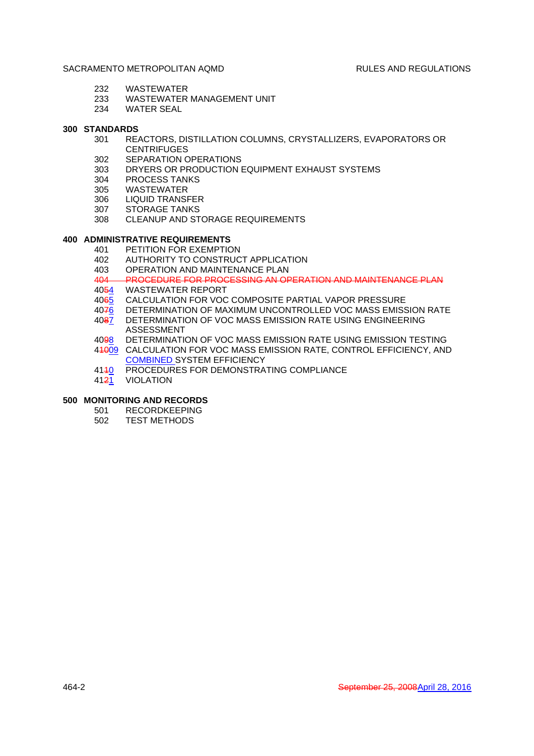- 232 WASTEWATER
- 233 WASTEWATER MANAGEMENT UNIT
- 234 WATER SEAL

# **300 STANDARDS**

- 301 REACTORS, DISTILLATION COLUMNS, CRYSTALLIZERS, EVAPORATORS OR **CENTRIFUGES**
- 302 SEPARATION OPERATIONS
- 303 DRYERS OR PRODUCTION EQUIPMENT EXHAUST SYSTEMS
- 304 PROCESS TANKS
- 305 WASTEWATER
- 306 LIQUID TRANSFER
- 307 STORAGE TANKS
- 308 CLEANUP AND STORAGE REQUIREMENTS

# **400 ADMINISTRATIVE REQUIREMENTS**

- 401 PETITION FOR EXEMPTION
- 402 AUTHORITY TO CONSTRUCT APPLICATION
- 403 OPERATION AND MAINTENANCE PLAN
- 404 PROCEDURE FOR PROCESSING AN OPERATION AND MAINTENANCE PLAN
- 4054 WASTEWATER REPORT
- 4065 CALCULATION FOR VOC COMPOSITE PARTIAL VAPOR PRESSURE
- 4076 DETERMINATION OF MAXIMUM UNCONTROLLED VOC MASS EMISSION RATE
- 4087 DETERMINATION OF VOC MASS EMISSION RATE USING ENGINEERING ASSESSMENT
- 4098 DETERMINATION OF VOC MASS EMISSION RATE USING EMISSION TESTING
- 41009 CALCULATION FOR VOC MASS EMISSION RATE, CONTROL EFFICIENCY, AND COMBINED SYSTEM EFFICIENCY
- 4140 PROCEDURES FOR DEMONSTRATING COMPLIANCE
- 4121 VIOLATION

## **500 MONITORING AND RECORDS**

- 501 RECORDKEEPING
- 502 TEST METHODS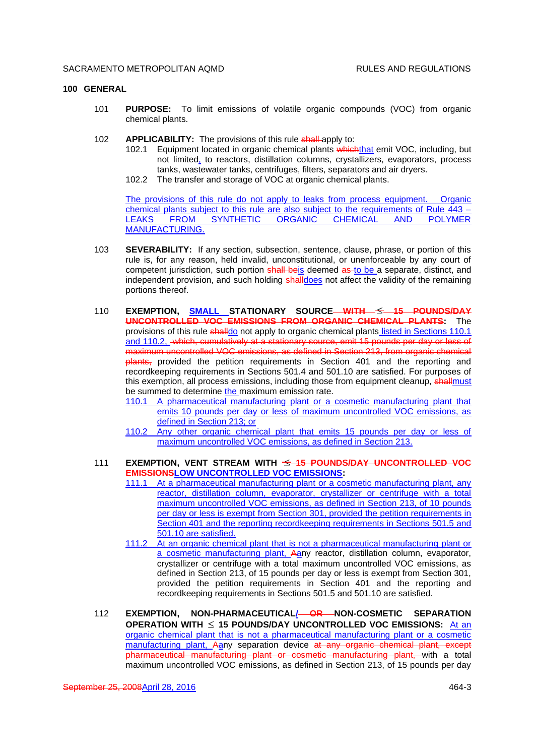#### **100 GENERAL**

- 101 **PURPOSE:** To limit emissions of volatile organic compounds (VOC) from organic chemical plants.
- 102 **APPLICABILITY:** The provisions of this rule shall apply to:
	- 102.1 Equipment located in organic chemical plants which that emit VOC, including, but not limited, to reactors, distillation columns, crystallizers, evaporators, process tanks, wastewater tanks, centrifuges, filters, separators and air dryers.
	- 102.2 The transfer and storage of VOC at organic chemical plants.

The provisions of this rule do not apply to leaks from process equipment. Organic chemical plants subject to this rule are also subject to the requirements of Rule 443 – LEAKS FROM SYNTHETIC ORGANIC CHEMICAL AND POLYMER MANUFACTURING.

- 103 **SEVERABILITY:** If any section, subsection, sentence, clause, phrase, or portion of this rule is, for any reason, held invalid, unconstitutional, or unenforceable by any court of competent jurisdiction, such portion shall beis deemed as to be a separate, distinct, and independent provision, and such holding shalldoes not affect the validity of the remaining portions thereof.
- 110 **EXEMPTION, SMALL STATIONARY SOURCE WITH 15 POUNDS/DAY UNCONTROLLED VOC EMISSIONS FROM ORGANIC CHEMICAL PLANTS:** The provisions of this rule shalldo not apply to organic chemical plants listed in Sections 110.1 and 110.2, which, cumulatively at a stationary source, emit 15 pounds per day or less of maximum uncontrolled VOC emissions, as defined in Section 213, from organic chemical plants, provided the petition requirements in Section 401 and the reporting and recordkeeping requirements in Sections 501.4 and 501.10 are satisfied. For purposes of this exemption, all process emissions, including those from equipment cleanup, shallmust be summed to determine the maximum emission rate.
	- 110.1 A pharmaceutical manufacturing plant or a cosmetic manufacturing plant that emits 10 pounds per day or less of maximum uncontrolled VOC emissions, as defined in Section 213; or
	- 110.2 Any other organic chemical plant that emits 15 pounds per day or less of maximum uncontrolled VOC emissions, as defined in Section 213.
- 111 **EXEMPTION, VENT STREAM WITH 15 POUNDS/DAY UNCONTROLLED VOC EMISSIONSLOW UNCONTROLLED VOC EMISSIONS:**
	- 111.1 At a pharmaceutical manufacturing plant or a cosmetic manufacturing plant, any reactor, distillation column, evaporator, crystallizer or centrifuge with a total maximum uncontrolled VOC emissions, as defined in Section 213, of 10 pounds per day or less is exempt from Section 301, provided the petition requirements in Section 401 and the reporting recordkeeping requirements in Sections 501.5 and 501.10 are satisfied.
	- 111.2 At an organic chemical plant that is not a pharmaceutical manufacturing plant or a cosmetic manufacturing plant, Aany reactor, distillation column, evaporator, crystallizer or centrifuge with a total maximum uncontrolled VOC emissions, as defined in Section 213, of 15 pounds per day or less is exempt from Section 301, provided the petition requirements in Section 401 and the reporting and recordkeeping requirements in Sections 501.5 and 501.10 are satisfied.
- 112 **EXEMPTION, NON-PHARMACEUTICAL/ OR NON-COSMETIC SEPARATION OPERATION WITH 15 POUNDS/DAY UNCONTROLLED VOC EMISSIONS:** At an organic chemical plant that is not a pharmaceutical manufacturing plant or a cosmetic manufacturing plant, Aany separation device at any organic chemical plant, except pharmaceutical manufacturing plant or cosmetic manufacturing plant, with a total maximum uncontrolled VOC emissions, as defined in Section 213, of 15 pounds per day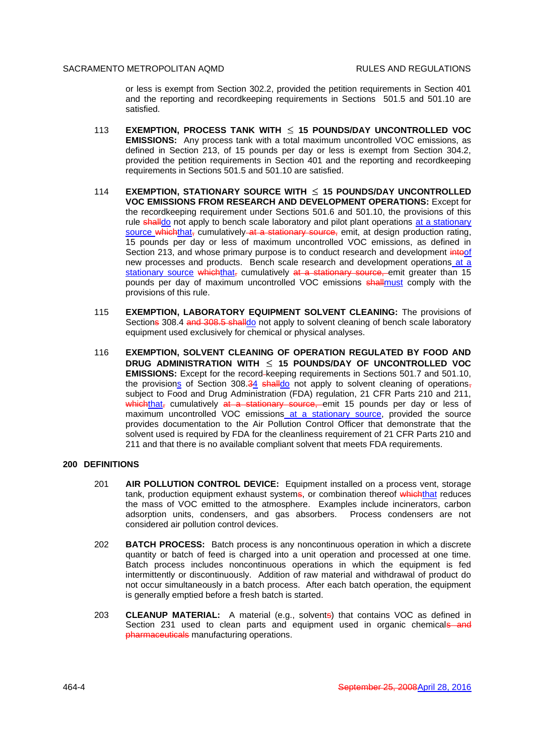or less is exempt from Section 302.2, provided the petition requirements in Section 401 and the reporting and recordkeeping requirements in Sections 501.5 and 501.10 are satisfied.

- 113 **EXEMPTION, PROCESS TANK WITH 15 POUNDS/DAY UNCONTROLLED VOC EMISSIONS:** Any process tank with a total maximum uncontrolled VOC emissions, as defined in Section 213, of 15 pounds per day or less is exempt from Section 304.2, provided the petition requirements in Section 401 and the reporting and recordkeeping requirements in Sections 501.5 and 501.10 are satisfied.
- 114 **EXEMPTION, STATIONARY SOURCE WITH 15 POUNDS/DAY UNCONTROLLED VOC EMISSIONS FROM RESEARCH AND DEVELOPMENT OPERATIONS:** Except for the recordkeeping requirement under Sections 501.6 and 501.10, the provisions of this rule shalldo not apply to bench scale laboratory and pilot plant operations at a stationary source whichthat, cumulatively at a stationary source, emit, at design production rating, 15 pounds per day or less of maximum uncontrolled VOC emissions, as defined in Section 213, and whose primary purpose is to conduct research and development inteof new processes and products. Bench scale research and development operations at a stationary source which that, cumulatively at a stationary source, emit greater than 15 pounds per day of maximum uncontrolled VOC emissions shallmust comply with the provisions of this rule.
- 115 **EXEMPTION, LABORATORY EQUIPMENT SOLVENT CLEANING:** The provisions of Sections 308.4 and 308.5 shalldo not apply to solvent cleaning of bench scale laboratory equipment used exclusively for chemical or physical analyses.
- 116 **EXEMPTION, SOLVENT CLEANING OF OPERATION REGULATED BY FOOD AND DRUG ADMINISTRATION WITH 15 POUNDS/DAY OF UNCONTROLLED VOC EMISSIONS:** Except for the record keeping requirements in Sections 501.7 and 501.10, the provisions of Section 308.34 shalldo not apply to solvent cleaning of operations, subject to Food and Drug Administration (FDA) regulation, 21 CFR Parts 210 and 211, whichthat, cumulatively at a stationary source, emit 15 pounds per day or less of maximum uncontrolled VOC emissions at a stationary source, provided the source provides documentation to the Air Pollution Control Officer that demonstrate that the solvent used is required by FDA for the cleanliness requirement of 21 CFR Parts 210 and 211 and that there is no available compliant solvent that meets FDA requirements.

#### **200 DEFINITIONS**

- 201 **AIR POLLUTION CONTROL DEVICE:** Equipment installed on a process vent, storage tank, production equipment exhaust systems, or combination thereof which that reduces the mass of VOC emitted to the atmosphere. Examples include incinerators, carbon adsorption units, condensers, and gas absorbers. Process condensers are not considered air pollution control devices.
- 202 **BATCH PROCESS:** Batch process is any noncontinuous operation in which a discrete quantity or batch of feed is charged into a unit operation and processed at one time. Batch process includes noncontinuous operations in which the equipment is fed intermittently or discontinuously. Addition of raw material and withdrawal of product do not occur simultaneously in a batch process. After each batch operation, the equipment is generally emptied before a fresh batch is started.
- 203 **CLEANUP MATERIAL:** A material (e.g., solvents) that contains VOC as defined in Section 231 used to clean parts and equipment used in organic chemicals and pharmaceuticals manufacturing operations.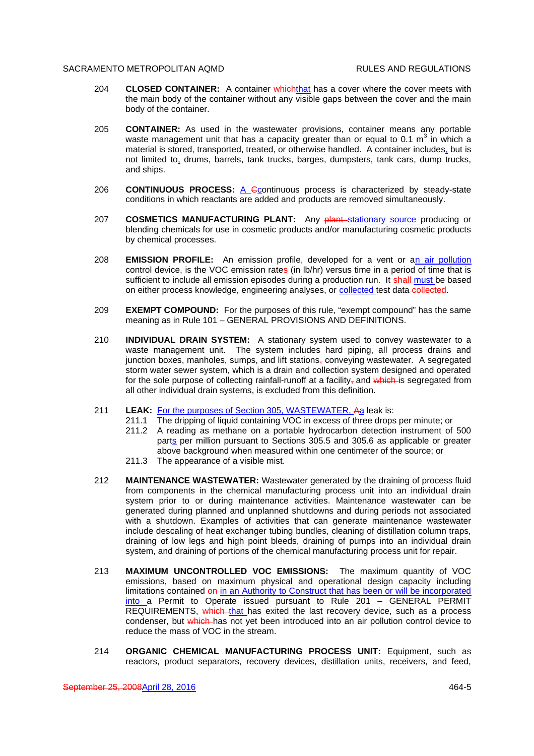- 204 **CLOSED CONTAINER:** A container which that has a cover where the cover meets with the main body of the container without any visible gaps between the cover and the main body of the container.
- 205 **CONTAINER:** As used in the wastewater provisions, container means any portable waste management unit that has a capacity greater than or equal to 0.1 m<sup>3</sup> in which a material is stored, transported, treated, or otherwise handled. A container includes, but is not limited to, drums, barrels, tank trucks, barges, dumpsters, tank cars, dump trucks, and ships.
- 206 **CONTINUOUS PROCESS:** A Ccontinuous process is characterized by steady-state conditions in which reactants are added and products are removed simultaneously.
- 207 **COSMETICS MANUFACTURING PLANT:** Any plant stationary source producing or blending chemicals for use in cosmetic products and/or manufacturing cosmetic products by chemical processes.
- 208 **EMISSION PROFILE:** An emission profile, developed for a vent or an air pollution control device, is the VOC emission rates (in lb/hr) versus time in a period of time that is sufficient to include all emission episodes during a production run. It shall must be based on either process knowledge, engineering analyses, or collected test data collected.
- 209 **EXEMPT COMPOUND:** For the purposes of this rule, "exempt compound" has the same meaning as in Rule 101 – GENERAL PROVISIONS AND DEFINITIONS.
- 210 **INDIVIDUAL DRAIN SYSTEM:** A stationary system used to convey wastewater to a waste management unit. The system includes hard piping, all process drains and junction boxes, manholes, sumps, and lift stations, conveving wastewater. A segregated storm water sewer system, which is a drain and collection system designed and operated for the sole purpose of collecting rainfall-runoff at a facility- $\alpha$  and which is segregated from all other individual drain systems, is excluded from this definition.
- 211 **LEAK:** For the purposes of Section 305, WASTEWATER, Aa leak is:
	- 211.1 The dripping of liquid containing VOC in excess of three drops per minute; or
	- 211.2 A reading as methane on a portable hydrocarbon detection instrument of 500 parts per million pursuant to Sections 305.5 and 305.6 as applicable or greater above background when measured within one centimeter of the source; or
	- 211.3 The appearance of a visible mist.
- 212 **MAINTENANCE WASTEWATER:** Wastewater generated by the draining of process fluid from components in the chemical manufacturing process unit into an individual drain system prior to or during maintenance activities. Maintenance wastewater can be generated during planned and unplanned shutdowns and during periods not associated with a shutdown. Examples of activities that can generate maintenance wastewater include descaling of heat exchanger tubing bundles, cleaning of distillation column traps, draining of low legs and high point bleeds, draining of pumps into an individual drain system, and draining of portions of the chemical manufacturing process unit for repair.
- 213 **MAXIMUM UNCONTROLLED VOC EMISSIONS:** The maximum quantity of VOC emissions, based on maximum physical and operational design capacity including limitations contained on in an Authority to Construct that has been or will be incorporated into a Permit to Operate issued pursuant to Rule 201 - GENERAL PERMIT REQUIREMENTS, which that has exited the last recovery device, such as a process condenser, but which has not yet been introduced into an air pollution control device to reduce the mass of VOC in the stream.
- 214 **ORGANIC CHEMICAL MANUFACTURING PROCESS UNIT:** Equipment, such as reactors, product separators, recovery devices, distillation units, receivers, and feed,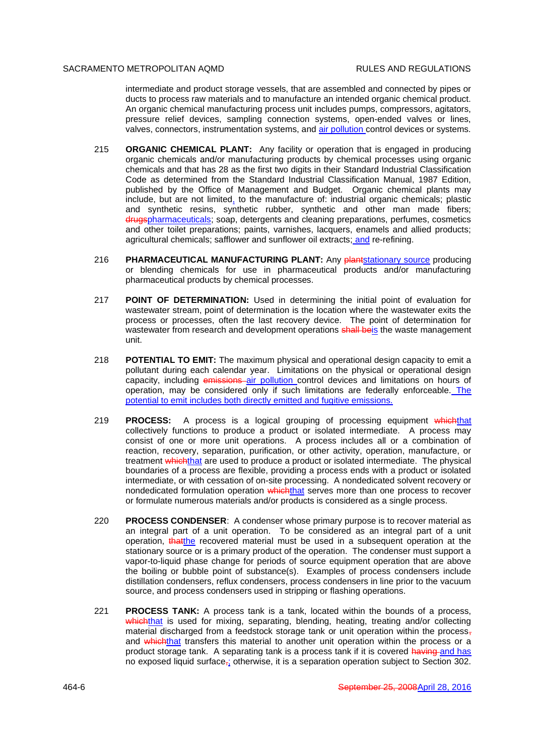intermediate and product storage vessels, that are assembled and connected by pipes or ducts to process raw materials and to manufacture an intended organic chemical product. An organic chemical manufacturing process unit includes pumps, compressors, agitators, pressure relief devices, sampling connection systems, open-ended valves or lines, valves, connectors, instrumentation systems, and air pollution control devices or systems.

- 215 **ORGANIC CHEMICAL PLANT:** Any facility or operation that is engaged in producing organic chemicals and/or manufacturing products by chemical processes using organic chemicals and that has 28 as the first two digits in their Standard Industrial Classification Code as determined from the Standard Industrial Classification Manual, 1987 Edition, published by the Office of Management and Budget. Organic chemical plants may include, but are not limited, to the manufacture of: industrial organic chemicals; plastic and synthetic resins, synthetic rubber, synthetic and other man made fibers; drugspharmaceuticals; soap, detergents and cleaning preparations, perfumes, cosmetics and other toilet preparations; paints, varnishes, lacquers, enamels and allied products; agricultural chemicals; safflower and sunflower oil extracts; and re-refining.
- 216 **PHARMACEUTICAL MANUFACTURING PLANT:** Any **plantstationary source** producing or blending chemicals for use in pharmaceutical products and/or manufacturing pharmaceutical products by chemical processes.
- 217 **POINT OF DETERMINATION:** Used in determining the initial point of evaluation for wastewater stream, point of determination is the location where the wastewater exits the process or processes, often the last recovery device. The point of determination for wastewater from research and development operations shall beis the waste management unit.
- 218 **POTENTIAL TO EMIT:** The maximum physical and operational design capacity to emit a pollutant during each calendar year. Limitations on the physical or operational design capacity, including emissions air pollution control devices and limitations on hours of operation, may be considered only if such limitations are federally enforceable. The potential to emit includes both directly emitted and fugitive emissions.
- 219 **PROCESS:** A process is a logical grouping of processing equipment whichthat collectively functions to produce a product or isolated intermediate. A process may consist of one or more unit operations. A process includes all or a combination of reaction, recovery, separation, purification, or other activity, operation, manufacture, or treatment whichthat are used to produce a product or isolated intermediate. The physical boundaries of a process are flexible, providing a process ends with a product or isolated intermediate, or with cessation of on-site processing. A nondedicated solvent recovery or nondedicated formulation operation which that serves more than one process to recover or formulate numerous materials and/or products is considered as a single process.
- 220 **PROCESS CONDENSER**: A condenser whose primary purpose is to recover material as an integral part of a unit operation. To be considered as an integral part of a unit operation, that the recovered material must be used in a subsequent operation at the stationary source or is a primary product of the operation. The condenser must support a vapor-to-liquid phase change for periods of source equipment operation that are above the boiling or bubble point of substance(s). Examples of process condensers include distillation condensers, reflux condensers, process condensers in line prior to the vacuum source, and process condensers used in stripping or flashing operations.
- 221 **PROCESS TANK:** A process tank is a tank, located within the bounds of a process, whichthat is used for mixing, separating, blending, heating, treating and/or collecting material discharged from a feedstock storage tank or unit operation within the process, and which that transfers this material to another unit operation within the process or a product storage tank. A separating tank is a process tank if it is covered having and has no exposed liquid surface<sub> $\vec{i}$ </sub> otherwise, it is a separation operation subject to Section 302.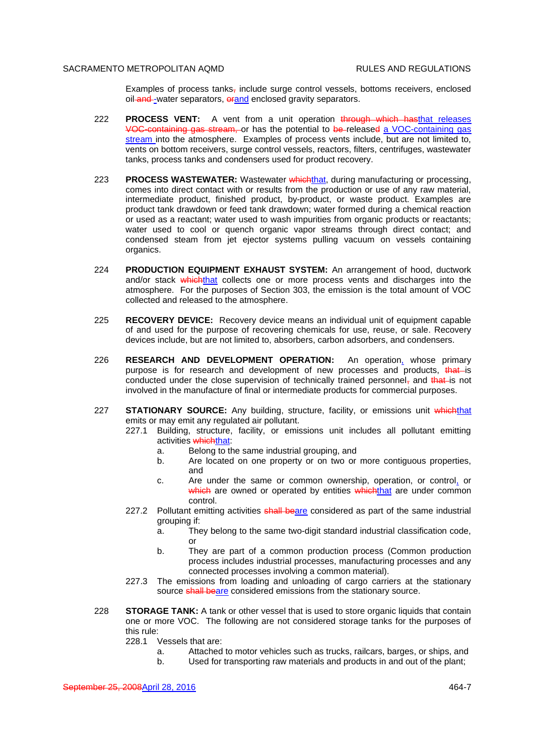Examples of process tanks, include surge control vessels, bottoms receivers, enclosed oil and -water separators, orand enclosed gravity separators.

- 222 **PROCESS VENT:** A vent from a unit operation through which hasthat releases VOC-containing gas stream, or has the potential to be released a VOC-containing gas stream into the atmosphere. Examples of process vents include, but are not limited to, vents on bottom receivers, surge control vessels, reactors, filters, centrifuges, wastewater tanks, process tanks and condensers used for product recovery.
- 223 **PROCESS WASTEWATER:** Wastewater whichthat, during manufacturing or processing, comes into direct contact with or results from the production or use of any raw material, intermediate product, finished product, by-product, or waste product. Examples are product tank drawdown or feed tank drawdown; water formed during a chemical reaction or used as a reactant; water used to wash impurities from organic products or reactants; water used to cool or quench organic vapor streams through direct contact; and condensed steam from jet ejector systems pulling vacuum on vessels containing organics.
- 224 **PRODUCTION EQUIPMENT EXHAUST SYSTEM:** An arrangement of hood, ductwork and/or stack which that collects one or more process vents and discharges into the atmosphere. For the purposes of Section 303, the emission is the total amount of VOC collected and released to the atmosphere.
- 225 **RECOVERY DEVICE:** Recovery device means an individual unit of equipment capable of and used for the purpose of recovering chemicals for use, reuse, or sale. Recovery devices include, but are not limited to, absorbers, carbon adsorbers, and condensers.
- 226 **RESEARCH AND DEVELOPMENT OPERATION:** An operation, whose primary purpose is for research and development of new processes and products, that is conducted under the close supervision of technically trained personnel, and that is not involved in the manufacture of final or intermediate products for commercial purposes.
- 227 **STATIONARY SOURCE:** Any building, structure, facility, or emissions unit whichthat emits or may emit any regulated air pollutant.
	- 227.1 Building, structure, facility, or emissions unit includes all pollutant emitting activities whichthat:
		- a. Belong to the same industrial grouping, and
		- b. Are located on one property or on two or more contiguous properties, and
		- c. Are under the same or common ownership, operation, or control, or which are owned or operated by entities whichthat are under common control.
	- 227.2 Pollutant emitting activities shall beare considered as part of the same industrial grouping if:
		- a. They belong to the same two-digit standard industrial classification code, or
		- b. They are part of a common production process (Common production process includes industrial processes, manufacturing processes and any connected processes involving a common material).
	- 227.3 The emissions from loading and unloading of cargo carriers at the stationary source shall beare considered emissions from the stationary source.
- 228 **STORAGE TANK:** A tank or other vessel that is used to store organic liquids that contain one or more VOC. The following are not considered storage tanks for the purposes of this rule:
	- 228.1 Vessels that are:
		- a. Attached to motor vehicles such as trucks, railcars, barges, or ships, and
		- b. Used for transporting raw materials and products in and out of the plant;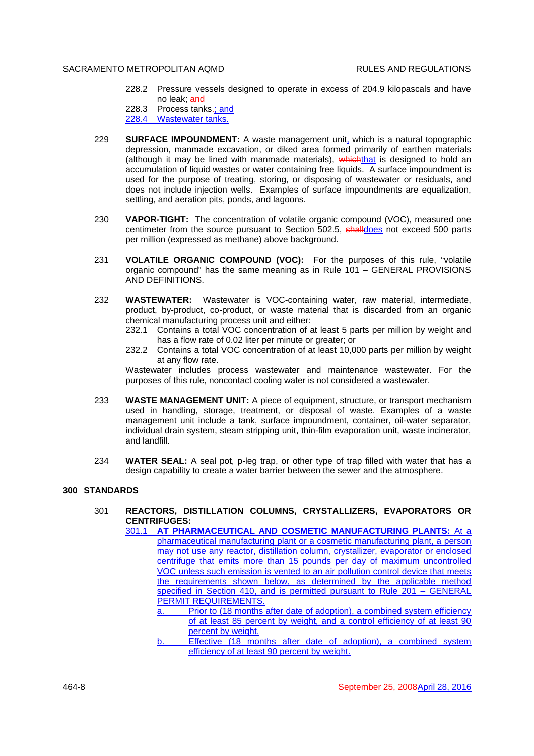- 228.2 Pressure vessels designed to operate in excess of 204.9 kilopascals and have no leak; and
- 228.3 Process tanks-; and
- 228.4 Wastewater tanks.
- 229 **SURFACE IMPOUNDMENT:** A waste management unit, which is a natural topographic depression, manmade excavation, or diked area formed primarily of earthen materials (although it may be lined with manmade materials), whichthat is designed to hold an accumulation of liquid wastes or water containing free liquids. A surface impoundment is used for the purpose of treating, storing, or disposing of wastewater or residuals, and does not include injection wells. Examples of surface impoundments are equalization, settling, and aeration pits, ponds, and lagoons.
- 230 **VAPOR-TIGHT:** The concentration of volatile organic compound (VOC), measured one centimeter from the source pursuant to Section 502.5, **shalldoes** not exceed 500 parts per million (expressed as methane) above background.
- 231 **VOLATILE ORGANIC COMPOUND (VOC):** For the purposes of this rule, "volatile organic compound" has the same meaning as in Rule 101 – GENERAL PROVISIONS AND DEFINITIONS.
- 232 **WASTEWATER:** Wastewater is VOC-containing water, raw material, intermediate, product, by-product, co-product, or waste material that is discarded from an organic chemical manufacturing process unit and either:
	- 232.1 Contains a total VOC concentration of at least 5 parts per million by weight and has a flow rate of 0.02 liter per minute or greater; or
	- 232.2 Contains a total VOC concentration of at least 10,000 parts per million by weight at any flow rate.

Wastewater includes process wastewater and maintenance wastewater. For the purposes of this rule, noncontact cooling water is not considered a wastewater.

- 233 **WASTE MANAGEMENT UNIT:** A piece of equipment, structure, or transport mechanism used in handling, storage, treatment, or disposal of waste. Examples of a waste management unit include a tank, surface impoundment, container, oil-water separator, individual drain system, steam stripping unit, thin-film evaporation unit, waste incinerator, and landfill.
- 234 **WATER SEAL:** A seal pot, p-leg trap, or other type of trap filled with water that has a design capability to create a water barrier between the sewer and the atmosphere.

## **300 STANDARDS**

301 **REACTORS, DISTILLATION COLUMNS, CRYSTALLIZERS, EVAPORATORS OR CENTRIFUGES:**

301.1 **AT PHARMACEUTICAL AND COSMETIC MANUFACTURING PLANTS:** At a pharmaceutical manufacturing plant or a cosmetic manufacturing plant, a person may not use any reactor, distillation column, crystallizer, evaporator or enclosed centrifuge that emits more than 15 pounds per day of maximum uncontrolled VOC unless such emission is vented to an air pollution control device that meets the requirements shown below, as determined by the applicable method specified in Section 410, and is permitted pursuant to Rule 201 - GENERAL PERMIT REQUIREMENTS.

- Prior to (18 months after date of adoption), a combined system efficiency of at least 85 percent by weight, and a control efficiency of at least 90 percent by weight.
- Effective (18 months after date of adoption), a combined system efficiency of at least 90 percent by weight.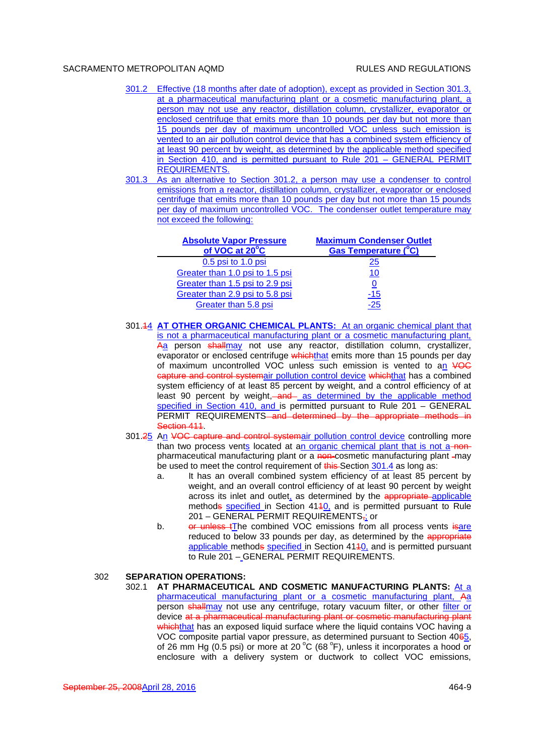- 301.2 Effective (18 months after date of adoption), except as provided in Section 301.3, at a pharmaceutical manufacturing plant or a cosmetic manufacturing plant, a person may not use any reactor, distillation column, crystallizer, evaporator or enclosed centrifuge that emits more than 10 pounds per day but not more than 15 pounds per day of maximum uncontrolled VOC unless such emission is vented to an air pollution control device that has a combined system efficiency of at least 90 percent by weight, as determined by the applicable method specified in Section 410, and is permitted pursuant to Rule 201 – GENERAL PERMIT REQUIREMENTS.
- 301.3 As an alternative to Section 301.2, a person may use a condenser to control emissions from a reactor, distillation column, crystallizer, evaporator or enclosed centrifuge that emits more than 10 pounds per day but not more than 15 pounds per day of maximum uncontrolled VOC. The condenser outlet temperature may not exceed the following:

| <b>Absolute Vapor Pressure</b><br>of VOC at 20°C | <b>Maximum Condenser Outlet</b><br><b>Gas Temperature (°C)</b> |
|--------------------------------------------------|----------------------------------------------------------------|
| 0.5 psi to 1.0 psi                               | <u> 25</u>                                                     |
| Greater than 1.0 psi to 1.5 psi                  | 10                                                             |
| Greater than 1.5 psi to 2.9 psi                  |                                                                |
| Greater than 2.9 psi to 5.8 psi                  | -15                                                            |
| Greater than 5.8 psi                             | -25                                                            |

- 301.14 **AT OTHER ORGANIC CHEMICAL PLANTS:** At an organic chemical plant that is not a pharmaceutical manufacturing plant or a cosmetic manufacturing plant, Aa person shallmay not use any reactor, distillation column, crystallizer, evaporator or enclosed centrifuge whichthat emits more than 15 pounds per day of maximum uncontrolled VOC unless such emission is vented to an VOC capture and control systemair pollution control device whichthat has a combined system efficiency of at least 85 percent by weight, and a control efficiency of at least 90 percent by weight, and as determined by the applicable method specified in Section 410, and is permitted pursuant to Rule 201 – GENERAL PERMIT REQUIREMENTS<del> and determined by the appropriate methods in</del> Section 411.
- 301.25 An VOC capture and control systemair pollution control device controlling more than two process vents located at an organic chemical plant that is not a nonpharmaceutical manufacturing plant or a non-cosmetic manufacturing plant -may be used to meet the control requirement of this Section 301.4 as long as:
	- a. It has an overall combined system efficiency of at least 85 percent by weight, and an overall control efficiency of at least 90 percent by weight across its inlet and outlet, as determined by the appropriate applicable methods specified in Section 4140, and is permitted pursuant to Rule 201 – GENERAL PERMIT REQUIREMENTS,; or
	- b. or unless to combined VOC emissions from all process vents is are reduced to below 33 pounds per day, as determined by the appropriate applicable methods specified in Section 4140, and is permitted pursuant to Rule 201 – GENERAL PERMIT REQUIREMENTS.

## 302 **SEPARATION OPERATIONS:**

302.1 **AT PHARMACEUTICAL AND COSMETIC MANUFACTURING PLANTS:** At a pharmaceutical manufacturing plant or a cosmetic manufacturing plant, Aa person shallmay not use any centrifuge, rotary vacuum filter, or other filter or device at a pharmaceutical manufacturing plant or cosmetic manufacturing plant whichthat has an exposed liquid surface where the liquid contains VOC having a VOC composite partial vapor pressure, as determined pursuant to Section 4065, of 26 mm Hg (0.5 psi) or more at 20  $^{\circ}$ C (68  $^{\circ}$ F), unless it incorporates a hood or enclosure with a delivery system or ductwork to collect VOC emissions,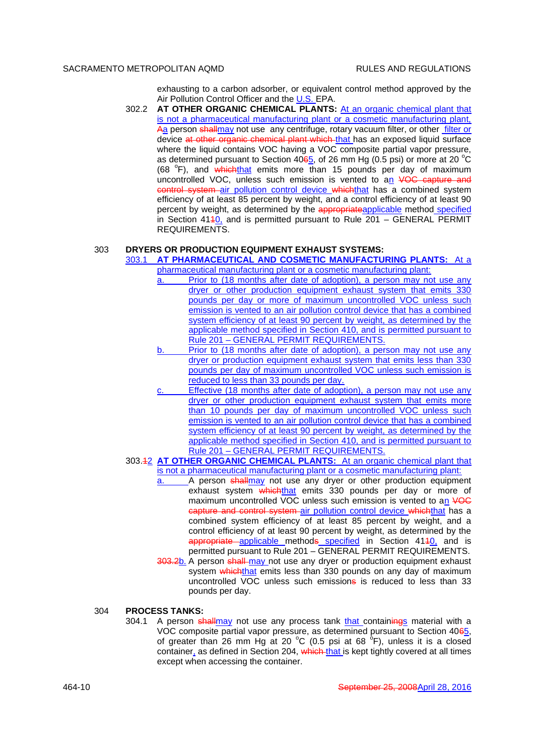exhausting to a carbon adsorber, or equivalent control method approved by the Air Pollution Control Officer and the U.S. EPA.

302.2 **AT OTHER ORGANIC CHEMICAL PLANTS:** At an organic chemical plant that is not a pharmaceutical manufacturing plant or a cosmetic manufacturing plant, Aa person shallmay not use any centrifuge, rotary vacuum filter, or other filter or device at other organic chemical plant which that has an exposed liquid surface where the liquid contains VOC having a VOC composite partial vapor pressure, as determined pursuant to Section  $4065$ , of 26 mm Hg (0.5 psi) or more at 20 °C (68 °F), and whichthat emits more than 15 pounds per day of maximum uncontrolled VOC, unless such emission is vented to an VOC capture and control system air pollution control device whichthat has a combined system efficiency of at least 85 percent by weight, and a control efficiency of at least 90 percent by weight, as determined by the appropriateapplicable method specified in Section 4140, and is permitted pursuant to Rule 201 - GENERAL PERMIT REQUIREMENTS.

#### 303 **DRYERS OR PRODUCTION EQUIPMENT EXHAUST SYSTEMS:**

303.1 **AT PHARMACEUTICAL AND COSMETIC MANUFACTURING PLANTS:** At a

- pharmaceutical manufacturing plant or a cosmetic manufacturing plant:<br>a. Prior to (18 months after date of adoption), a person may no Prior to (18 months after date of adoption), a person may not use any dryer or other production equipment exhaust system that emits 330 pounds per day or more of maximum uncontrolled VOC unless such emission is vented to an air pollution control device that has a combined system efficiency of at least 90 percent by weight, as determined by the applicable method specified in Section 410, and is permitted pursuant to Rule 201 – GENERAL PERMIT REQUIREMENTS.
- b. Prior to (18 months after date of adoption), a person may not use any dryer or production equipment exhaust system that emits less than 330 pounds per day of maximum uncontrolled VOC unless such emission is reduced to less than 33 pounds per day.
- Effective (18 months after date of adoption), a person may not use any dryer or other production equipment exhaust system that emits more than 10 pounds per day of maximum uncontrolled VOC unless such emission is vented to an air pollution control device that has a combined system efficiency of at least 90 percent by weight, as determined by the applicable method specified in Section 410, and is permitted pursuant to Rule 201 – GENERAL PERMIT REQUIREMENTS.
- 303.12 **AT OTHER ORGANIC CHEMICAL PLANTS:** At an organic chemical plant that is not a pharmaceutical manufacturing plant or a cosmetic manufacturing plant:
	- a. A person shallmay not use any dryer or other production equipment exhaust system whichthat emits 330 pounds per day or more of maximum uncontrolled VOC unless such emission is vented to an VOC capture and control system air pollution control device whichthat has a combined system efficiency of at least 85 percent by weight, and a control efficiency of at least 90 percent by weight, as determined by the appropriate applicable methods specified in Section 4140, and is permitted pursuant to Rule 201 – GENERAL PERMIT REQUIREMENTS.
	- 303.2b. A person shall may not use any dryer or production equipment exhaust system whichthat emits less than 330 pounds on any day of maximum uncontrolled VOC unless such emissions is reduced to less than 33 pounds per day.

# 304 **PROCESS TANKS:**

304.1 A person shallmay not use any process tank that containings material with a VOC composite partial vapor pressure, as determined pursuant to Section 4065, of greater than 26 mm Hg at 20 °C (0.5 psi at 68 °F), unless it is a closed container, as defined in Section 204, which that is kept tightly covered at all times except when accessing the container.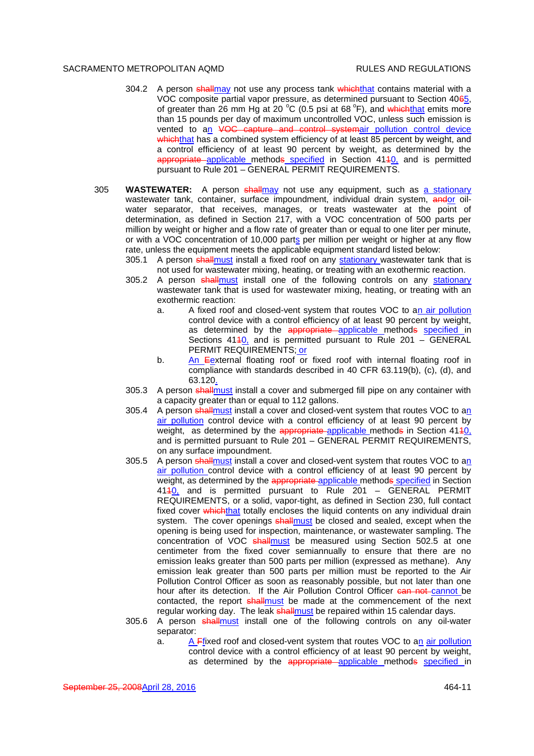- 304.2 A person shallmay not use any process tank which that contains material with a VOC composite partial vapor pressure, as determined pursuant to Section 4065, of greater than 26 mm Hg at 20 °C (0.5 psi at 68 °F), and whichthat emits more than 15 pounds per day of maximum uncontrolled VOC, unless such emission is vented to an VOC capture and control systemair pollution control device whichthat has a combined system efficiency of at least 85 percent by weight, and a control efficiency of at least 90 percent by weight, as determined by the appropriate applicable methods specified in Section 4110, and is permitted pursuant to Rule 201 – GENERAL PERMIT REQUIREMENTS.
- 305 **WASTEWATER:** A person shallmay not use any equipment, such as a stationary wastewater tank, container, surface impoundment, individual drain system, andor oilwater separator, that receives, manages, or treats wastewater at the point of determination, as defined in Section 217, with a VOC concentration of 500 parts per million by weight or higher and a flow rate of greater than or equal to one liter per minute, or with a VOC concentration of 10,000 parts per million per weight or higher at any flow rate, unless the equipment meets the applicable equipment standard listed below:
	- 305.1 A person shall must install a fixed roof on any stationary wastewater tank that is not used for wastewater mixing, heating, or treating with an exothermic reaction.
	- 305.2 A person shallmust install one of the following controls on any stationary wastewater tank that is used for wastewater mixing, heating, or treating with an exothermic reaction:
		- a. A fixed roof and closed-vent system that routes VOC to an air pollution control device with a control efficiency of at least 90 percent by weight, as determined by the appropriate applicable methods specified in Sections 4140, and is permitted pursuant to Rule 201 – GENERAL PERMIT REQUIREMENTS; or
		- b. An Eexternal floating roof or fixed roof with internal floating roof in compliance with standards described in 40 CFR 63.119(b), (c), (d), and 63.120.
	- 305.3 A person shallmust install a cover and submerged fill pipe on any container with a capacity greater than or equal to 112 gallons.
	- 305.4 A person shallmust install a cover and closed-vent system that routes VOC to an air pollution control device with a control efficiency of at least 90 percent by weight, as determined by the appropriate applicable methods in Section  $4140$ , and is permitted pursuant to Rule 201 – GENERAL PERMIT REQUIREMENTS, on any surface impoundment.
	- 305.5 A person shallmust install a cover and closed-vent system that routes VOC to an air pollution control device with a control efficiency of at least 90 percent by weight, as determined by the appropriate-applicable methods specified in Section 4110, and is permitted pursuant to Rule 201 – GENERAL PERMIT REQUIREMENTS, or a solid, vapor-tight, as defined in Section 230, full contact fixed cover whichthat totally encloses the liquid contents on any individual drain system. The cover openings shall must be closed and sealed, except when the opening is being used for inspection, maintenance, or wastewater sampling. The concentration of VOC shallmust be measured using Section 502.5 at one centimeter from the fixed cover semiannually to ensure that there are no emission leaks greater than 500 parts per million (expressed as methane). Any emission leak greater than 500 parts per million must be reported to the Air Pollution Control Officer as soon as reasonably possible, but not later than one hour after its detection. If the Air Pollution Control Officer can not cannot be contacted, the report shall must be made at the commencement of the next regular working day. The leak shallmust be repaired within 15 calendar days.
	- 305.6 A person shallmust install one of the following controls on any oil-water separator:
		- a. A Ffixed roof and closed-vent system that routes VOC to an air pollution control device with a control efficiency of at least 90 percent by weight, as determined by the appropriate applicable methods specified in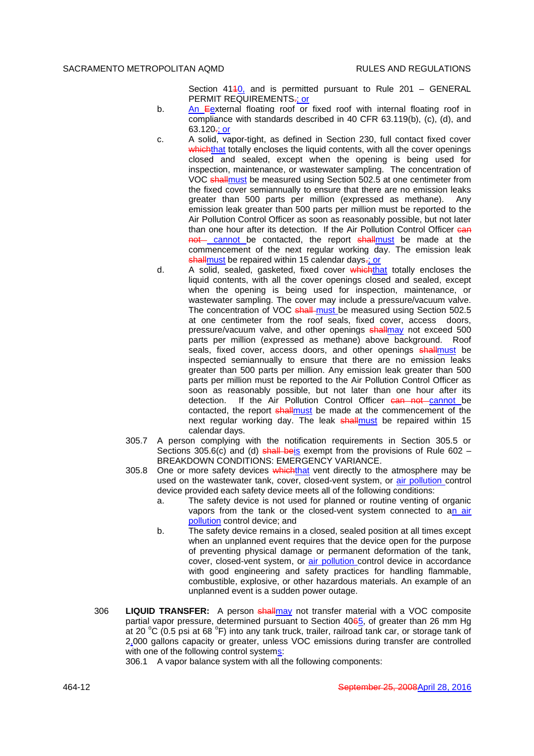Section  $4140$ , and is permitted pursuant to Rule 201 – GENERAL PERMIT REQUIREMENTS<sub>"</sub>; or

- b. An Eexternal floating roof or fixed roof with internal floating roof in compliance with standards described in 40 CFR 63.119(b), (c), (d), and  $63.120 -$ ; or
- c. A solid, vapor-tight, as defined in Section 230, full contact fixed cover whichthat totally encloses the liquid contents, with all the cover openings closed and sealed, except when the opening is being used for inspection, maintenance, or wastewater sampling. The concentration of VOC shallmust be measured using Section 502.5 at one centimeter from the fixed cover semiannually to ensure that there are no emission leaks greater than 500 parts per million (expressed as methane). Any emission leak greater than 500 parts per million must be reported to the Air Pollution Control Officer as soon as reasonably possible, but not later than one hour after its detection. If the Air Pollution Control Officer can not cannot be contacted, the report shallmust be made at the commencement of the next regular working day. The emission leak shallmust be repaired within 15 calendar days-; or
- d. A solid, sealed, gasketed, fixed cover which that totally encloses the liquid contents, with all the cover openings closed and sealed, except when the opening is being used for inspection, maintenance, or wastewater sampling. The cover may include a pressure/vacuum valve. The concentration of VOC shall must be measured using Section 502.5 at one centimeter from the roof seals, fixed cover, access doors, pressure/vacuum valve, and other openings shallmay not exceed 500 parts per million (expressed as methane) above background. Roof seals, fixed cover, access doors, and other openings shallmust be inspected semiannually to ensure that there are no emission leaks greater than 500 parts per million. Any emission leak greater than 500 parts per million must be reported to the Air Pollution Control Officer as soon as reasonably possible, but not later than one hour after its detection. If the Air Pollution Control Officer can not cannot be contacted, the report shallmust be made at the commencement of the next regular working day. The leak shallmust be repaired within 15 calendar days.
- 305.7 A person complying with the notification requirements in Section 305.5 or Sections 305.6(c) and (d) shall beis exempt from the provisions of Rule 602 – BREAKDOWN CONDITIONS: EMERGENCY VARIANCE.
- 305.8 One or more safety devices which that vent directly to the atmosphere may be used on the wastewater tank, cover, closed-vent system, or air pollution control device provided each safety device meets all of the following conditions:
	- a. The safety device is not used for planned or routine venting of organic vapors from the tank or the closed-vent system connected to an air pollution control device; and
	- b. The safety device remains in a closed, sealed position at all times except when an unplanned event requires that the device open for the purpose of preventing physical damage or permanent deformation of the tank, cover, closed-vent system, or **air pollution** control device in accordance with good engineering and safety practices for handling flammable, combustible, explosive, or other hazardous materials. An example of an unplanned event is a sudden power outage.
- 306 **LIQUID TRANSFER:** A person shallmay not transfer material with a VOC composite partial vapor pressure, determined pursuant to Section 4065, of greater than 26 mm Hg at 20 °C (0.5 psi at 68 °F) into any tank truck, trailer, railroad tank car, or storage tank of 2,000 gallons capacity or greater, unless VOC emissions during transfer are controlled with one of the following control systems:

306.1 A vapor balance system with all the following components: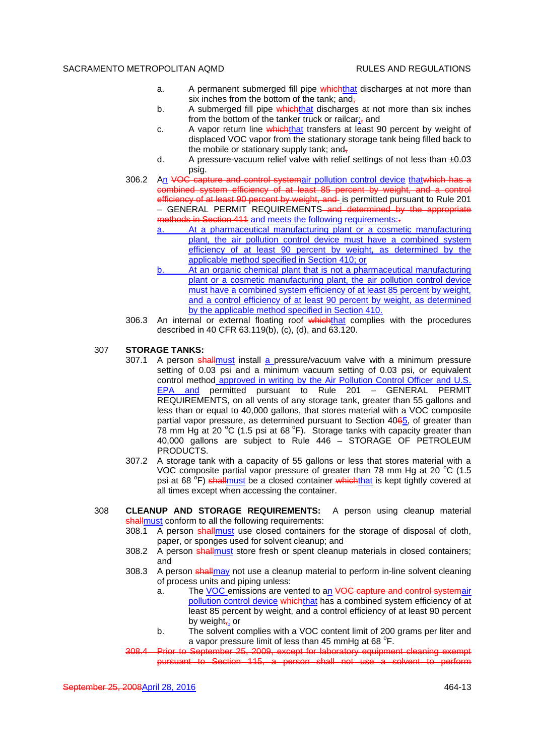- a. A permanent submerged fill pipe which that discharges at not more than six inches from the bottom of the tank; and,
- b. A submerged fill pipe whichthat discharges at not more than six inches from the bottom of the tanker truck or railcar $\frac{1}{x}$  and
- c. A vapor return line whichthat transfers at least 90 percent by weight of displaced VOC vapor from the stationary storage tank being filled back to the mobile or stationary supply tank; and-
- d. A pressure-vacuum relief valve with relief settings of not less than  $\pm 0.03$ psig.
- 306.2 An VOC capture and control systemair pollution control device that which has a combined system efficiency of at least 85 percent by weight, and a control efficiency of at least 90 percent by weight, and is permitted pursuant to Rule 201 – GENERAL PERMIT REQUIREMENTS and determined by the appropriate methods in Section 411 and meets the following requirements:-
	- At a pharmaceutical manufacturing plant or a cosmetic manufacturing plant, the air pollution control device must have a combined system efficiency of at least 90 percent by weight, as determined by the applicable method specified in Section 410; or
	- b. At an organic chemical plant that is not a pharmaceutical manufacturing plant or a cosmetic manufacturing plant, the air pollution control device must have a combined system efficiency of at least 85 percent by weight, and a control efficiency of at least 90 percent by weight, as determined by the applicable method specified in Section 410.
- 306.3 An internal or external floating roof which that complies with the procedures described in 40 CFR 63.119(b), (c), (d), and 63.120.
- 307 **STORAGE TANKS:**
	- 307.1 A person shallmust install a pressure/vacuum valve with a minimum pressure setting of 0.03 psi and a minimum vacuum setting of 0.03 psi, or equivalent control method approved in writing by the Air Pollution Control Officer and U.S. EPA and permitted pursuant to Rule 201 – GENERAL PERMIT REQUIREMENTS, on all vents of any storage tank, greater than 55 gallons and less than or equal to 40,000 gallons, that stores material with a VOC composite partial vapor pressure, as determined pursuant to Section 4065, of greater than 78 mm Hg at 20 °C (1.5 psi at 68 °F). Storage tanks with capacity greater than 40,000 gallons are subject to Rule 446 – STORAGE OF PETROLEUM PRODUCTS.
	- 307.2 A storage tank with a capacity of 55 gallons or less that stores material with a VOC composite partial vapor pressure of greater than 78 mm Hg at 20  $^{\circ}$ C (1.5 psi at 68 <sup>o</sup>F) <del>shall<u>must</u> be a closed container which<u>that</u> is kept tightly covered at</del> all times except when accessing the container.
- 308 **CLEANUP AND STORAGE REQUIREMENTS:** A person using cleanup material shallmust conform to all the following requirements:
	- 308.1 A person shallmust use closed containers for the storage of disposal of cloth, paper, or sponges used for solvent cleanup; and
	- 308.2 A person shallmust store fresh or spent cleanup materials in closed containers; and
	- 308.3 A person shallmay not use a cleanup material to perform in-line solvent cleaning of process units and piping unless:
		- a. The VOC emissions are vented to an VOC capture and control systemair pollution control device whichthat has a combined system efficiency of at least 85 percent by weight, and a control efficiency of at least 90 percent by weight, or
		- b. The solvent complies with a VOC content limit of 200 grams per liter and a vapor pressure limit of less than 45 mmHg at 68  $\mathrm{^{\circ}F}.$
	- to September 25, 2009, except for laboratory equipment cleaning exempt pursuant to Section 115, a person shall not use a solvent to perform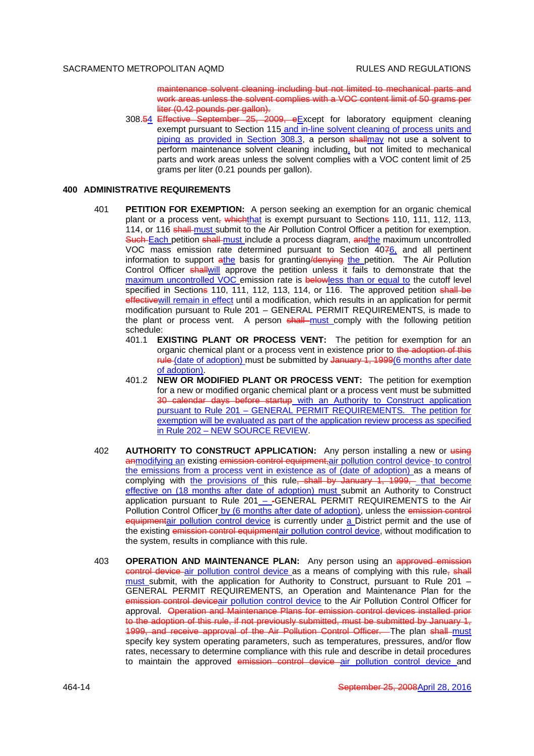maintenance solvent cleaning including but not limited to mechanical parts and work areas unless the solvent complies with a VOC content limit of 50 grams per liter (0.42 pounds per gallon).

308.54 Effective September 25, 2009, eExcept for laboratory equipment cleaning exempt pursuant to Section 115 and in-line solvent cleaning of process units and piping as provided in Section 308.3, a person shallmay not use a solvent to perform maintenance solvent cleaning including, but not limited to mechanical parts and work areas unless the solvent complies with a VOC content limit of 25 grams per liter (0.21 pounds per gallon).

## **400 ADMINISTRATIVE REQUIREMENTS**

- 401 **PETITION FOR EXEMPTION:** A person seeking an exemption for an organic chemical plant or a process vent, which that is exempt pursuant to Sections 110, 111, 112, 113, 114, or 116 shall-must submit to the Air Pollution Control Officer a petition for exemption. Such-Each petition shall-must include a process diagram, andthe maximum uncontrolled VOC mass emission rate determined pursuant to Section 4076, and all pertinent information to support  $a$ the basis for granting/denying the petition. The Air Pollution Control Officer shallwill approve the petition unless it fails to demonstrate that the maximum uncontrolled VOC emission rate is belowless than or equal to the cutoff level specified in Sections 110, 111, 112, 113, 114, or 116. The approved petition shall be effectivewill remain in effect until a modification, which results in an application for permit modification pursuant to Rule 201 – GENERAL PERMIT REQUIREMENTS, is made to the plant or process vent. A person shall must comply with the following petition schedule:
	- 401.1 **EXISTING PLANT OR PROCESS VENT:** The petition for exemption for an organic chemical plant or a process vent in existence prior to the adoption of this rule (date of adoption) must be submitted by January 1, 1999(6 months after date of adoption).
	- 401.2 **NEW OR MODIFIED PLANT OR PROCESS VENT:** The petition for exemption for a new or modified organic chemical plant or a process vent must be submitted 30 calendar days before startup with an Authority to Construct application pursuant to Rule 201 – GENERAL PERMIT REQUIREMENTS. The petition for exemption will be evaluated as part of the application review process as specified in Rule 202 – NEW SOURCE REVIEW.
- 402 **AUTHORITY TO CONSTRUCT APPLICATION:** Any person installing a new or using anmodifying an existing emission control equipment, air pollution control device- to control the emissions from a process vent in existence as of (date of adoption) as a means of complying with the provisions of this rule, shall by January 1, 1999, that become effective on (18 months after date of adoption) must submit an Authority to Construct application pursuant to Rule 201 – -GENERAL PERMIT REQUIREMENTS to the Air Pollution Control Officer by (6 months after date of adoption), unless the emission control equipmentair pollution control device is currently under a District permit and the use of the existing emission control equipmentair pollution control device, without modification to the system, results in compliance with this rule.
- 403 **OPERATION AND MAINTENANCE PLAN:** Any person using an approved emission control device air pollution control device as a means of complying with this rule, shall must submit, with the application for Authority to Construct, pursuant to Rule 201 – GENERAL PERMIT REQUIREMENTS, an Operation and Maintenance Plan for the emission control deviceair pollution control device to the Air Pollution Control Officer for approval. Operation and Maintenance Plans for emission control devices installed prior to the adoption of this rule, if not previously submitted, must be submitted by January 1, 1999, and receive approval of the Air Pollution Control Officer. The plan shall must specify key system operating parameters, such as temperatures, pressures, and/or flow rates, necessary to determine compliance with this rule and describe in detail procedures to maintain the approved emission control device air pollution control device and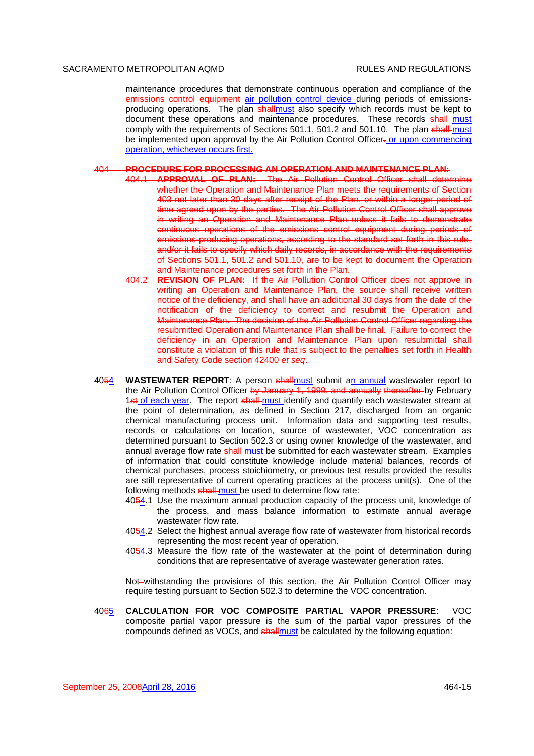maintenance procedures that demonstrate continuous operation and compliance of the emissions control equipment air pollution control device during periods of emissionsproducing operations. The plan shallmust also specify which records must be kept to document these operations and maintenance procedures. These records shall must comply with the requirements of Sections 501.1, 501.2 and 501.10. The plan shall-must be implemented upon approval by the Air Pollution Control Officer- or upon commencing operation, whichever occurs first.

#### 404 **PROCEDURE FOR PROCESSING AN OPERATION AND MAINTENANCE PLAN:**

- 404.1 **APPROVAL OF PLAN:** The Air Pollution Control Officer shall determine whether the Operation and Maintenance Plan meets the requirements of Section 403 not later than 30 days after receipt of the Plan, or within a longer period of time agreed upon by the parties. The Air Pollution Control Officer shall approve in writing an Operation and Maintenance Plan unless it fails to demonstrate continuous operations of the emissions control equipment during periods of emissions-producing operations, according to the standard set forth in this rule, and/or it fails to specify which daily records, in accordance with the requirements of Sections 501.1, 501.2 and 501.10, are to be kept to document the Operation and Maintenance procedures set forth in the Plan.
	- 404.2 **REVISION OF PLAN:** If the Air Pollution Control Officer does not approve in writing an Operation and Maintenance Plan, the source shall receive written notice of the deficiency, and shall have an additional 30 days from the date of the notification of the deficiency to correct and resubmit the Operation and Maintenance Plan. The decision of the Air Pollution Control Officer regarding the resubmitted Operation and Maintenance Plan shall be final. Failure to correct the deficiency in an Operation and Maintenance Plan upon resubmittal shall constitute a violation of this rule that is subject to the penalties set forth in Health and Safety Code section 42400 *et seq*.
- 4054 **WASTEWATER REPORT**: A person shallmust submit an annual wastewater report to the Air Pollution Control Officer by January 1, 1999, and annually thereafter by February 1st of each year. The report shall must identify and quantify each wastewater stream at the point of determination, as defined in Section 217, discharged from an organic chemical manufacturing process unit. Information data and supporting test results, records or calculations on location, source of wastewater, VOC concentration as determined pursuant to Section 502.3 or using owner knowledge of the wastewater, and annual average flow rate shall-must be submitted for each wastewater stream. Examples of information that could constitute knowledge include material balances, records of chemical purchases, process stoichiometry, or previous test results provided the results are still representative of current operating practices at the process unit(s). One of the following methods shall-must be used to determine flow rate:
	- 4054.1 Use the maximum annual production capacity of the process unit, knowledge of the process, and mass balance information to estimate annual average wastewater flow rate.
	- 4054.2 Select the highest annual average flow rate of wastewater from historical records representing the most recent year of operation.
	- 4054.3 Measure the flow rate of the wastewater at the point of determination during conditions that are representative of average wastewater generation rates.

Not-withstanding the provisions of this section, the Air Pollution Control Officer may require testing pursuant to Section 502.3 to determine the VOC concentration.

4065 **CALCULATION FOR VOC COMPOSITE PARTIAL VAPOR PRESSURE**: VOC composite partial vapor pressure is the sum of the partial vapor pressures of the compounds defined as VOCs, and shallmust be calculated by the following equation: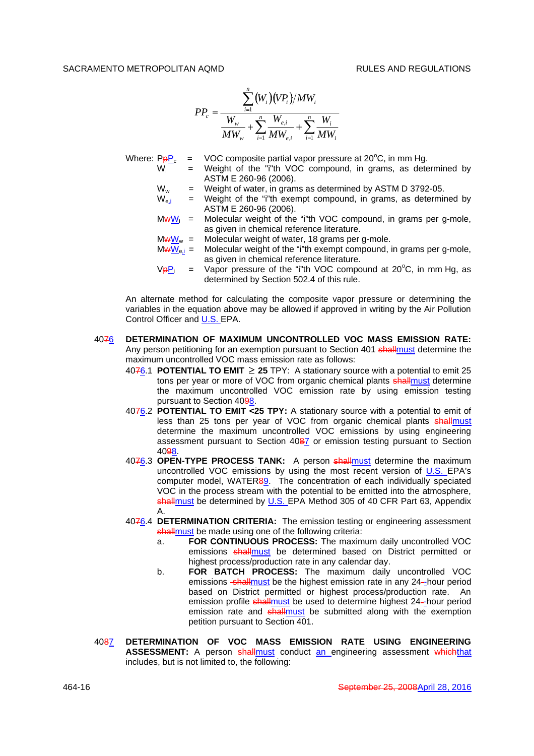$$
PP_c = \frac{\sum_{i=1}^{n} (W_i)(VP_i)/MW_i}{\frac{W_w}{MW_w} + \sum_{i=1}^{n} \frac{W_{e,i}}{MW_{e,i}} + \sum_{i=1}^{n} \frac{W_i}{MW_i}}
$$

Where:  $P_{\rm P}P_{\rm c}$  = VOC composite partial vapor pressure at 20°C, in mm Hg.

- $W_i$  = Weight of the "i"th VOC compound, in grams, as determined by ASTM E 260-96 (2006).
- $W_w$  = Weight of water, in grams as determined by ASTM D 3792-05.
- $W_{e,i}$  = Weight of the "i"th exempt compound, in grams, as determined by ASTM E 260-96 (2006).
- $MwW_i$  = Molecular weight of the "i"th VOC compound, in grams per g-mole, as given in chemical reference literature.
- 
- $Mw_{\text{w}} = M$ olecular weight of water, 18 grams per g-mole.<br> $Mw_{\text{w}} = M$ olecular weight of the "i"th exempt compound, i Molecular weight of the "i"th exempt compound, in grams per g-mole, as given in chemical reference literature.
- $V_{\overline{P}}P_i$  = Vapor pressure of the "i"th VOC compound at 20<sup>o</sup>C, in mm Hg, as determined by Section 502.4 of this rule.

An alternate method for calculating the composite vapor pressure or determining the variables in the equation above may be allowed if approved in writing by the Air Pollution Control Officer and **U.S. EPA.** 

- 4076 **DETERMINATION OF MAXIMUM UNCONTROLLED VOC MASS EMISSION RATE:** Any person petitioning for an exemption pursuant to Section 401 shallmust determine the maximum uncontrolled VOC mass emission rate as follows:
	- 4076.1 **POTENTIAL TO EMIT 25** TPY: A stationary source with a potential to emit 25 tons per year or more of VOC from organic chemical plants shallmust determine the maximum uncontrolled VOC emission rate by using emission testing pursuant to Section 4098.
	- 4076.2 **POTENTIAL TO EMIT <25 TPY:** A stationary source with a potential to emit of less than 25 tons per year of VOC from organic chemical plants shallmust determine the maximum uncontrolled VOC emissions by using engineering assessment pursuant to Section 4087 or emission testing pursuant to Section 4098.
	- 4076.3 **OPEN-TYPE PROCESS TANK:** A person shallmust determine the maximum uncontrolled VOC emissions by using the most recent version of U.S. EPA's computer model, WATER89. The concentration of each individually speciated VOC in the process stream with the potential to be emitted into the atmosphere, shallmust be determined by U.S. EPA Method 305 of 40 CFR Part 63, Appendix A.
	- 4076.4 **DETERMINATION CRITERIA:** The emission testing or engineering assessment shallmust be made using one of the following criteria:
		- a. **FOR CONTINUOUS PROCESS:** The maximum daily uncontrolled VOC emissions shallmust be determined based on District permitted or highest process/production rate in any calendar day.
		- b. **FOR BATCH PROCESS:** The maximum daily uncontrolled VOC emissions shall must be the highest emission rate in any 24-hour period based on District permitted or highest process/production rate. An emission profile shallmust be used to determine highest 24-hour period emission rate and shallmust be submitted along with the exemption petition pursuant to Section 401.
- 4087 **DETERMINATION OF VOC MASS EMISSION RATE USING ENGINEERING ASSESSMENT:** A person shallmust conduct an engineering assessment whichthat includes, but is not limited to, the following: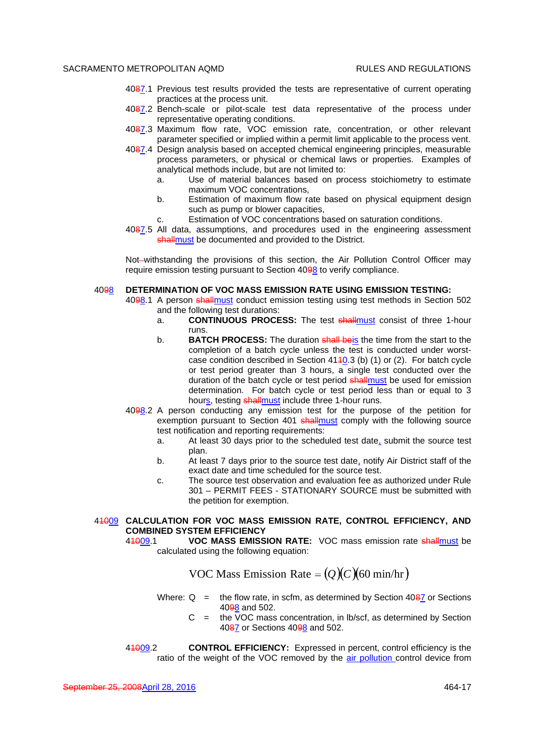- 4087.1 Previous test results provided the tests are representative of current operating practices at the process unit.
- 4087.2 Bench-scale or pilot-scale test data representative of the process under representative operating conditions.
- 4087.3 Maximum flow rate, VOC emission rate, concentration, or other relevant parameter specified or implied within a permit limit applicable to the process vent.
- 4087.4 Design analysis based on accepted chemical engineering principles, measurable process parameters, or physical or chemical laws or properties. Examples of analytical methods include, but are not limited to:
	- a. Use of material balances based on process stoichiometry to estimate maximum VOC concentrations,
	- b. Estimation of maximum flow rate based on physical equipment design such as pump or blower capacities,
	- c. Estimation of VOC concentrations based on saturation conditions.
- 4087.5 All data, assumptions, and procedures used in the engineering assessment shallmust be documented and provided to the District.

Not-withstanding the provisions of this section, the Air Pollution Control Officer may require emission testing pursuant to Section 4098 to verify compliance.

#### 4098 **DETERMINATION OF VOC MASS EMISSION RATE USING EMISSION TESTING:**

4098.1 A person shallmust conduct emission testing using test methods in Section 502 and the following test durations:

- a. **CONTINUOUS PROCESS:** The test shallmust consist of three 1-hour runs.
- b. **BATCH PROCESS:** The duration shall beis the time from the start to the completion of a batch cycle unless the test is conducted under worstcase condition described in Section  $4140.3$  (b) (1) or (2). For batch cycle or test period greater than 3 hours, a single test conducted over the duration of the batch cycle or test period shallmust be used for emission determination. For batch cycle or test period less than or equal to 3 hours, testing shall must include three 1-hour runs.
- 4098.2 A person conducting any emission test for the purpose of the petition for exemption pursuant to Section 401 shallmust comply with the following source test notification and reporting requirements:
	- a. At least 30 days prior to the scheduled test date, submit the source test plan.
	- b. At least 7 days prior to the source test date, notify Air District staff of the exact date and time scheduled for the source test.
	- c. The source test observation and evaluation fee as authorized under Rule 301 – PERMIT FEES - STATIONARY SOURCE must be submitted with the petition for exemption.

# 41009 **CALCULATION FOR VOC MASS EMISSION RATE, CONTROL EFFICIENCY, AND COMBINED SYSTEM EFFICIENCY**

41009.1 **VOC MASS EMISSION RATE:** VOC mass emission rate shallmust be calculated using the following equation:

**VOC** Mass Emission Rate =  $(Q)(C)(60 \text{ min/hr})$ 

- Where:  $Q =$  the flow rate, in scfm, as determined by Section 4087 or Sections 4098 and 502.
	- $C =$  the VOC mass concentration, in Ib/scf, as determined by Section 4087 or Sections 4098 and 502.
- 41009.2 **CONTROL EFFICIENCY:** Expressed in percent, control efficiency is the ratio of the weight of the VOC removed by the air pollution control device from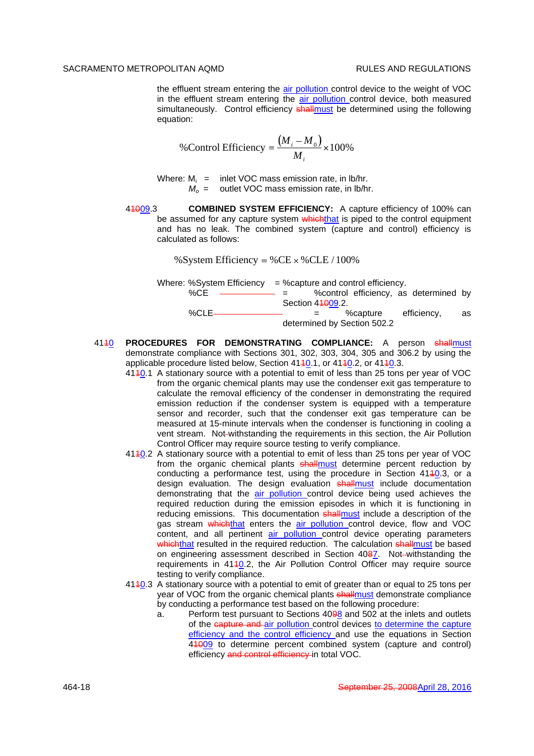the effluent stream entering the air pollution control device to the weight of VOC in the effluent stream entering the air pollution control device, both measured simultaneously. Control efficiency shallmust be determined using the following equation:

%Control Efficiency 
$$
=\frac{(M_i - M_0)}{M_i} \times 100\%
$$

Where:  $M_i$  = inlet VOC mass emission rate, in lb/hr. *M<sup>o</sup>* = outlet VOC mass emission rate, in lb/hr.

41009.3 **COMBINED SYSTEM EFFICIENCY:** A capture efficiency of 100% can be assumed for any capture system whichthat is piped to the control equipment and has no leak. The combined system (capture and control) efficiency is calculated as follows:

% System Efficiency = % CE  $\times$  % CLE / 100%

|          | Where: %System Efficiency $=$ %capture and control efficiency.                                                                                                                                                                                                                                                                                                                               |                  |                             |                                        |    |
|----------|----------------------------------------------------------------------------------------------------------------------------------------------------------------------------------------------------------------------------------------------------------------------------------------------------------------------------------------------------------------------------------------------|------------------|-----------------------------|----------------------------------------|----|
| %CE      | $\frac{1}{2} \frac{1}{2} \frac{1}{2} \frac{1}{2} \frac{1}{2} \frac{1}{2} \frac{1}{2} \frac{1}{2} \frac{1}{2} \frac{1}{2} \frac{1}{2} \frac{1}{2} \frac{1}{2} \frac{1}{2} \frac{1}{2} \frac{1}{2} \frac{1}{2} \frac{1}{2} \frac{1}{2} \frac{1}{2} \frac{1}{2} \frac{1}{2} \frac{1}{2} \frac{1}{2} \frac{1}{2} \frac{1}{2} \frac{1}{2} \frac{1}{2} \frac{1}{2} \frac{1}{2} \frac{1}{2} \frac{$ |                  |                             | % control efficiency, as determined by |    |
|          |                                                                                                                                                                                                                                                                                                                                                                                              | Section 44009.2. |                             |                                        |    |
| $% CLE-$ |                                                                                                                                                                                                                                                                                                                                                                                              |                  | %capture                    | efficiency,                            | as |
|          |                                                                                                                                                                                                                                                                                                                                                                                              |                  | determined by Section 502.2 |                                        |    |

- 4110 **PROCEDURES FOR DEMONSTRATING COMPLIANCE:** A person shallmust demonstrate compliance with Sections 301, 302, 303, 304, 305 and 306.2 by using the applicable procedure listed below, Section 4140.1, or 4140.2, or 4140.3.
	- 4110.1 A stationary source with a potential to emit of less than 25 tons per year of VOC from the organic chemical plants may use the condenser exit gas temperature to calculate the removal efficiency of the condenser in demonstrating the required emission reduction if the condenser system is equipped with a temperature sensor and recorder, such that the condenser exit gas temperature can be measured at 15-minute intervals when the condenser is functioning in cooling a vent stream. Not-withstanding the requirements in this section, the Air Pollution Control Officer may require source testing to verify compliance.
	- 4110.2 A stationary source with a potential to emit of less than 25 tons per year of VOC from the organic chemical plants shallmust determine percent reduction by conducting a performance test, using the procedure in Section 4110.3, or a design evaluation. The design evaluation shallmust include documentation demonstrating that the air pollution control device being used achieves the required reduction during the emission episodes in which it is functioning in reducing emissions. This documentation shallmust include a description of the gas stream whichthat enters the air pollution control device, flow and VOC content, and all pertinent air pollution control device operating parameters whichthat resulted in the required reduction. The calculation shallmust be based on engineering assessment described in Section 4087. Not-withstanding the requirements in 4110.2, the Air Pollution Control Officer may require source testing to verify compliance.
	- 4110.3 A stationary source with a potential to emit of greater than or equal to 25 tons per year of VOC from the organic chemical plants shallmust demonstrate compliance by conducting a performance test based on the following procedure:
		- a. Perform test pursuant to Sections 4098 and 502 at the inlets and outlets of the capture and air pollution control devices to determine the capture efficiency and the control efficiency and use the equations in Section 41009 to determine percent combined system (capture and control) efficiency and control efficiency in total VOC.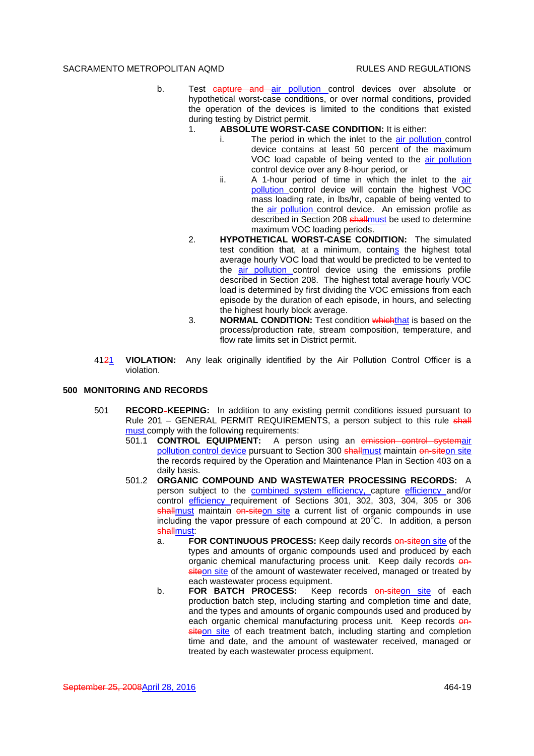- b. Test capture and air pollution control devices over absolute or hypothetical worst-case conditions, or over normal conditions, provided the operation of the devices is limited to the conditions that existed during testing by District permit.
	- 1. **ABSOLUTE WORST-CASE CONDITION:** It is either:
		- The period in which the inlet to the air pollution control device contains at least 50 percent of the maximum VOC load capable of being vented to the air pollution control device over any 8-hour period, or
		- ii. A 1-hour period of time in which the inlet to the air pollution control device will contain the highest VOC mass loading rate, in lbs/hr, capable of being vented to the **air pollution** control device. An emission profile as described in Section 208 shallmust be used to determine maximum VOC loading periods.
	- 2. **HYPOTHETICAL WORST-CASE CONDITION:** The simulated test condition that, at a minimum, contains the highest total average hourly VOC load that would be predicted to be vented to the air pollution control device using the emissions profile described in Section 208. The highest total average hourly VOC load is determined by first dividing the VOC emissions from each episode by the duration of each episode, in hours, and selecting the highest hourly block average.
	- 3. **NORMAL CONDITION:** Test condition whichthat is based on the process/production rate, stream composition, temperature, and flow rate limits set in District permit.
- 4121 **VIOLATION:** Any leak originally identified by the Air Pollution Control Officer is a violation.

# **500 MONITORING AND RECORDS**

- 501 **RECORD KEEPING:** In addition to any existing permit conditions issued pursuant to Rule 201 – GENERAL PERMIT REQUIREMENTS, a person subject to this rule shall must comply with the following requirements:
	- 501.1 **CONTROL EQUIPMENT:** A person using an emission control pollution control device pursuant to Section 300 shallmust maintain on-siteon site the records required by the Operation and Maintenance Plan in Section 403 on a daily basis.
	- 501.2 **ORGANIC COMPOUND AND WASTEWATER PROCESSING RECORDS:** A person subject to the combined system efficiency, capture efficiency and/or control efficiency requirement of Sections 301, 302, 303, 304, 305 or 306 shallmust maintain on-siteon site a current list of organic compounds in use including the vapor pressure of each compound at  $20^{\circ}$ C. In addition, a person shallmust:
		- a. **FOR CONTINUOUS PROCESS:** Keep daily records **on-siteon site of the** types and amounts of organic compounds used and produced by each organic chemical manufacturing process unit. Keep daily records onsiteon site of the amount of wastewater received, managed or treated by each wastewater process equipment.
		- b. **FOR BATCH PROCESS:** Keep records **on-siteon site** of each production batch step, including starting and completion time and date, and the types and amounts of organic compounds used and produced by each organic chemical manufacturing process unit. Keep records onsiteon site of each treatment batch, including starting and completion time and date, and the amount of wastewater received, managed or treated by each wastewater process equipment.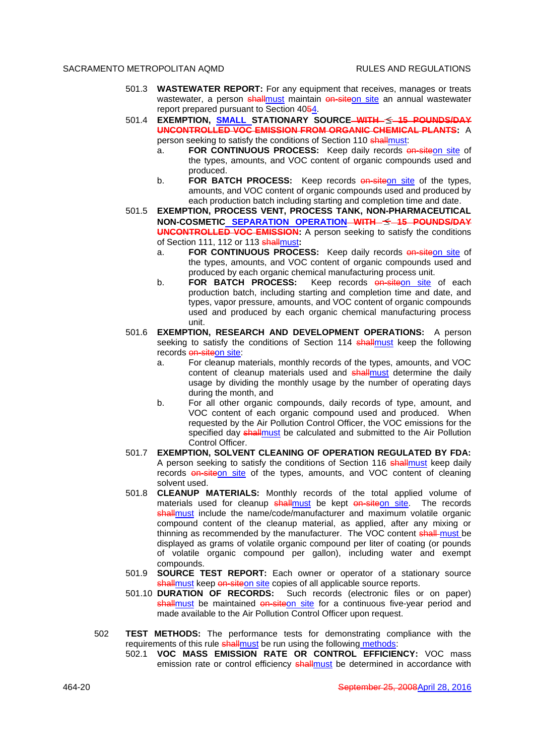- 501.3 **WASTEWATER REPORT:** For any equipment that receives, manages or treats wastewater, a person shallmust maintain on-siteon site an annual wastewater report prepared pursuant to Section 4054.
- 501.4 **EXEMPTION, SMALL STATIONARY SOURCE WITH 15 POUNDS/DAY UNCONTROLLED VOC EMISSION FROM ORGANIC CHEMICAL PLANTS:** A person seeking to satisfy the conditions of Section 110 shallmust:
	- a. **FOR CONTINUOUS PROCESS:** Keep daily records **on-siteon site of** the types, amounts, and VOC content of organic compounds used and produced.
	- b. **FOR BATCH PROCESS:** Keep records **on-site** on site of the types, amounts, and VOC content of organic compounds used and produced by each production batch including starting and completion time and date.
- 501.5 **EXEMPTION, PROCESS VENT, PROCESS TANK, NON-PHARMACEUTICAL NON-COSMETIC SEPARATION OPERATION WITH 15 POUNDS/DAY UNCONTROLLED VOC EMISSION:** A person seeking to satisfy the conditions of Section 111, 112 or 113 shallmust**:**
	- a. **FOR CONTINUOUS PROCESS:** Keep daily records on-siteon site of the types, amounts, and VOC content of organic compounds used and produced by each organic chemical manufacturing process unit.
	- b. **FOR BATCH PROCESS:** Keep records **on-siteon** site of each production batch, including starting and completion time and date, and types, vapor pressure, amounts, and VOC content of organic compounds used and produced by each organic chemical manufacturing process unit.
- 501.6 **EXEMPTION, RESEARCH AND DEVELOPMENT OPERATIONS:** A person seeking to satisfy the conditions of Section 114 shallmust keep the following records on-siteon site:
	- a. For cleanup materials, monthly records of the types, amounts, and VOC content of cleanup materials used and shallmust determine the daily usage by dividing the monthly usage by the number of operating days during the month, and
	- b. For all other organic compounds, daily records of type, amount, and VOC content of each organic compound used and produced. When requested by the Air Pollution Control Officer, the VOC emissions for the specified day shallmust be calculated and submitted to the Air Pollution Control Officer.
- 501.7 **EXEMPTION, SOLVENT CLEANING OF OPERATION REGULATED BY FDA:** A person seeking to satisfy the conditions of Section 116 shallmust keep daily records on-siteon site of the types, amounts, and VOC content of cleaning solvent used.
- 501.8 **CLEANUP MATERIALS:** Monthly records of the total applied volume of materials used for cleanup shallmust be kept on-siteon site. The records shallmust include the name/code/manufacturer and maximum volatile organic compound content of the cleanup material, as applied, after any mixing or thinning as recommended by the manufacturer. The VOC content shall must be displayed as grams of volatile organic compound per liter of coating (or pounds of volatile organic compound per gallon), including water and exempt compounds.
- 501.9 **SOURCE TEST REPORT:** Each owner or operator of a stationary source shallmust keep on-siteon site copies of all applicable source reports.
- 501.10 **DURATION OF RECORDS:** Such records (electronic files or on paper) shallmust be maintained on-siteon site for a continuous five-year period and made available to the Air Pollution Control Officer upon request.
- 502 **TEST METHODS:** The performance tests for demonstrating compliance with the requirements of this rule shallmust be run using the following methods:
	- 502.1 **VOC MASS EMISSION RATE OR CONTROL EFFICIENCY:** VOC mass emission rate or control efficiency shallmust be determined in accordance with